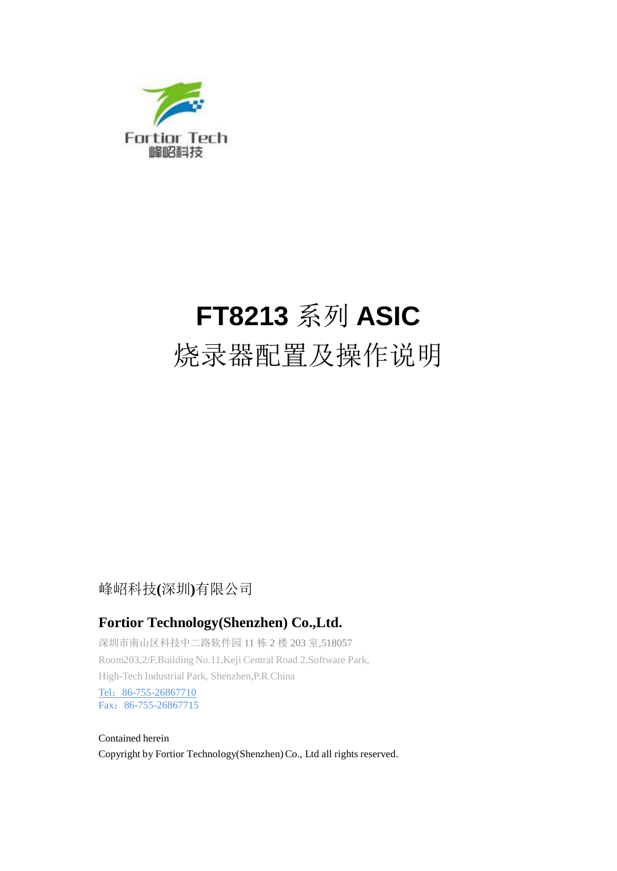

# **FT8213** 系列 **ASIC**

# 烧录器配置及操作说明

#### 峰岹科技**(**深圳**)**有限公司

#### **Fortior Technology(Shenzhen) Co.,Ltd.**

深圳市南山区科技中二路软件园 11 栋 2 楼 203 室,518057 Room203,2/F,Building No.11,Keji Central Road 2,Software Park, High-Tech Industrial Park, Shenzhen,P.R.China Tel: 86-755-26867710 Fax:86-755-26867715

Contained herein Copyright by Fortior Technology(Shenzhen)Co., Ltd all rights reserved.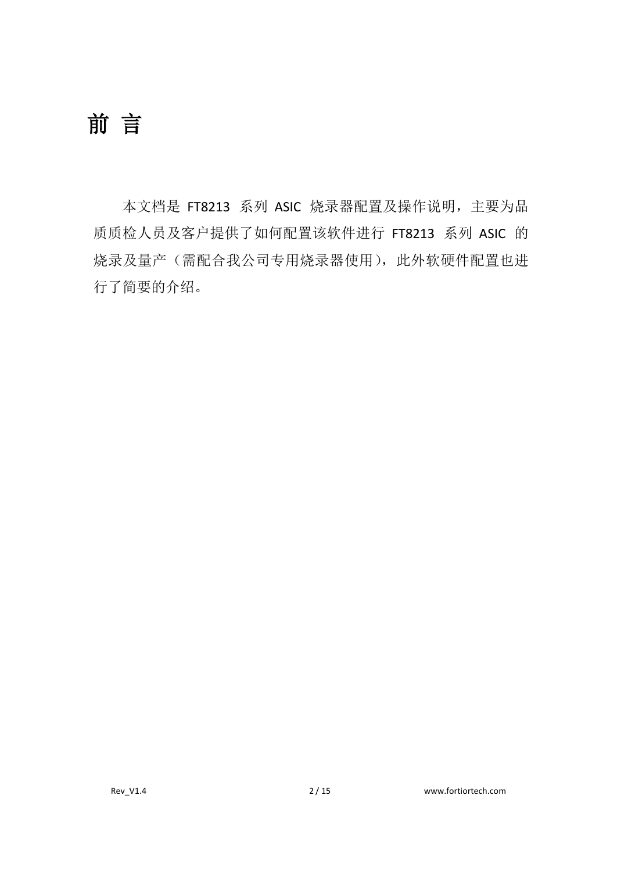# <span id="page-1-0"></span>前言

本文档是 FT8213 系列 ASIC 烧录器配置及操作说明,主要为品 质质检人员及客户提供了如何配置该软件进行 FT8213 系列 ASIC 的 烧录及量产(需配合我公司专用烧录器使用),此外软硬件配置也进 行了简要的介绍。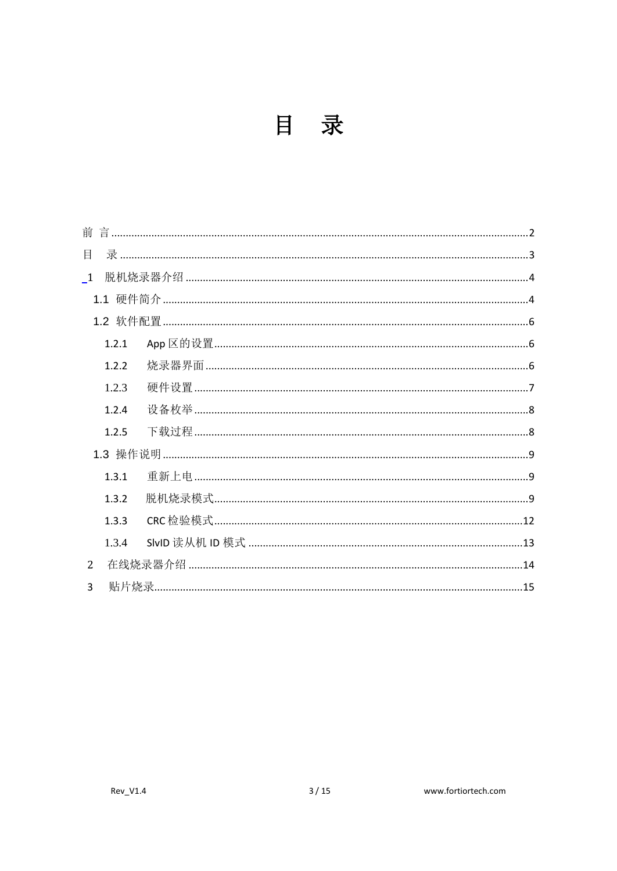<span id="page-2-0"></span>

| 前              |  |
|----------------|--|
| 目              |  |
| $\overline{1}$ |  |
|                |  |
|                |  |
| 1.2.1          |  |
| 1.2.2          |  |
| 1.2.3          |  |
| 1.2.4          |  |
| 1.2.5          |  |
|                |  |
| 1.3.1          |  |
| 1.3.2          |  |
| 1.3.3          |  |
| 1.3.4          |  |
| $\overline{2}$ |  |
| $\mathbf{R}$   |  |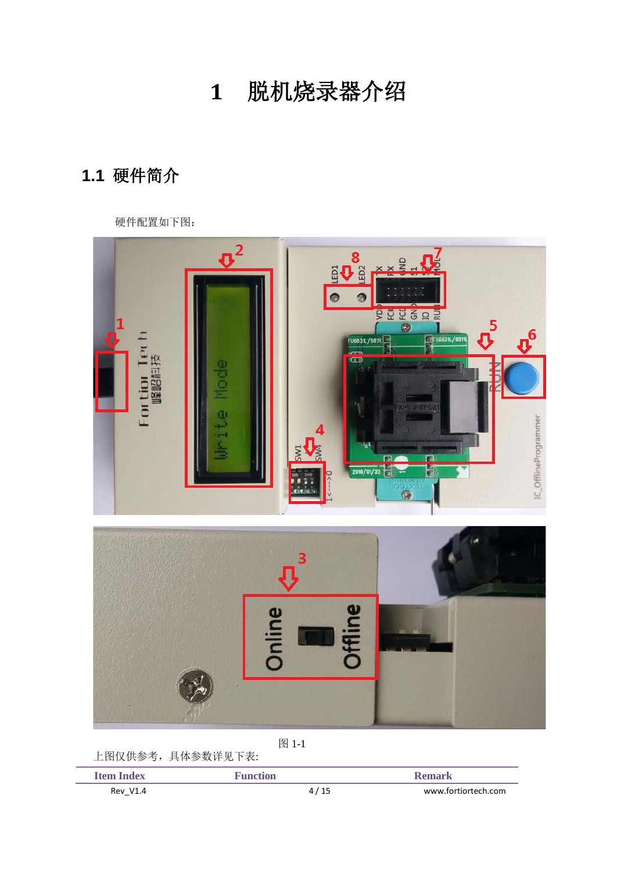**1** 脱机烧录器介绍

## <span id="page-3-1"></span><span id="page-3-0"></span>**1.1** 硬件简介

硬件配置如下图:



图 1-1

| 上图仅供参考,具体参数详见下表:  |                 |                     |
|-------------------|-----------------|---------------------|
| <b>Ifem Index</b> | <b>Function</b> | Remark              |
| <b>Rev V1.4</b>   | 4/15            | www.fortiortech.com |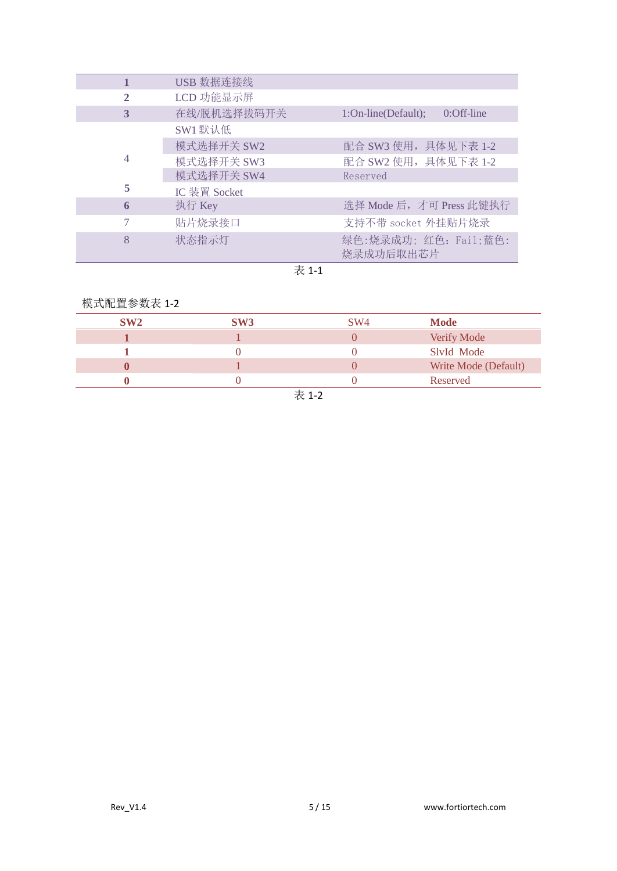|   | USB 数据连接线    |                                      |
|---|--------------|--------------------------------------|
| 2 | LCD 功能显示屏    |                                      |
| 3 | 在线/脱机选择拔码开关  | 1:On-line(Default);<br>$0:$ Off-line |
|   | SW1 默认低      |                                      |
|   | 模式选择开关 SW2   | 配合 SW3 使用, 具体见下表 1-2                 |
| 4 | 模式选择开关 SW3   | 配合 SW2 使用, 具体见下表 1-2                 |
|   | 模式选择开关 SW4   | Reserved                             |
| 5 | IC 装置 Socket |                                      |
| 6 | 执行 Key       | 选择 Mode 后, 才可 Press 此键执行             |
| 7 | 贴片烧录接口       | 支持不带 socket 外挂贴片烧录                   |
| 8 | 状态指示灯        | 绿色:烧录成功;红色: Fail;蓝色:<br>烧录成功后取出芯片    |

#### $\overline{\mathcal{R}}$ 1-1

#### 模式配置参数表 1-2

| SW2 | SW <sub>3</sub> | SW <sub>4</sub> | <b>Mode</b>          |
|-----|-----------------|-----------------|----------------------|
|     |                 |                 | Verify Mode          |
|     |                 |                 | SlyId Mode           |
|     |                 |                 | Write Mode (Default) |
|     |                 |                 | Reserved             |
|     |                 | $\pm$ 4 $\sim$  |                      |

表 1-2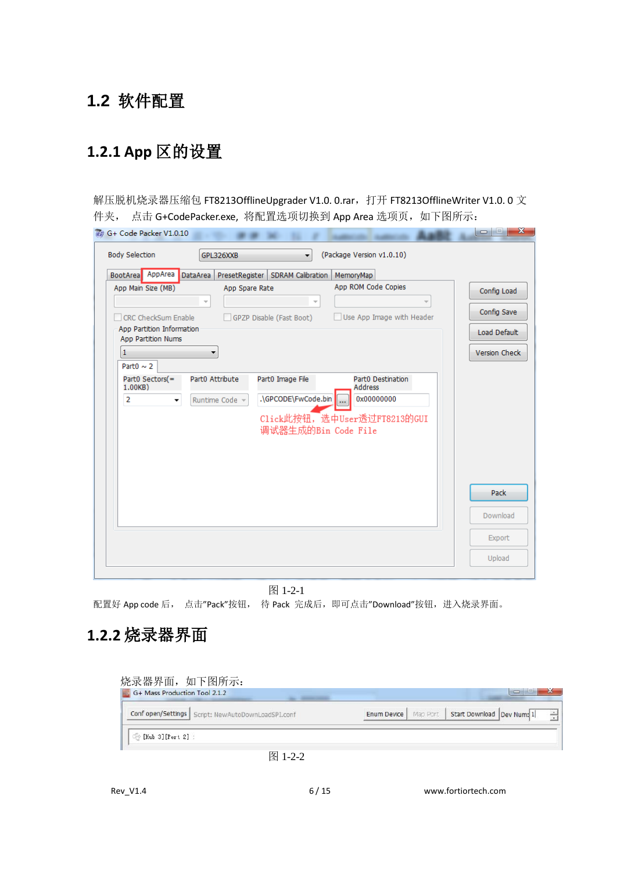## <span id="page-5-0"></span>**1.2** 软件配置

# <span id="page-5-1"></span>**1.2.1 App** 区的设置

解压脱机烧录器压缩包 FT8213OfflineUpgrader V1.0. 0.rar,打开 FT8213OfflineWriter V1.0. 0 文 件夹, 点击 G+CodePacker.exe, 将配置选项切换到 App Area 选项页, 如下图所示:

| BootArea AppArea DataArea                                                                                                                                                   |                                                                                  | PresetRegister   SDRAM Calibration                                  | MemoryMap                                                                                                                            |                                                             |
|-----------------------------------------------------------------------------------------------------------------------------------------------------------------------------|----------------------------------------------------------------------------------|---------------------------------------------------------------------|--------------------------------------------------------------------------------------------------------------------------------------|-------------------------------------------------------------|
| App Main Size (MB)<br><b>CRC CheckSum Enable</b><br>App Partition Information<br>App Partition Nums<br>1<br>Part $0 \sim 2$<br>Part0 Sectors(=<br>1.00KB)<br>$\overline{2}$ | App Spare Rate<br>▼<br>Part0 Attribute<br>Runtime Code -<br>$\blacktriangledown$ | GPZP Disable (Fast Boot)<br>Part0 Image File<br>.\GPCODE\FwCode.bin | App ROM Code Copies<br>Use App Image with Header<br>Part0 Destination<br><b>Address</b><br>0x00000000<br>Click此按钮,选中User透过FT8213的GUI | Config Load<br>Config Save<br>Load Default<br>Version Check |
|                                                                                                                                                                             |                                                                                  | 调试器生成的Bin Code File                                                 |                                                                                                                                      | Pack<br>Download<br>Export                                  |

图 1-2-1 配置好 App code 后, 点击"Pack"按钮, 待 Pack 完成后, 即可点击"Download"按钮, 进入烧录界面。

### <span id="page-5-2"></span>**1.2.2** 烧录器界面

|  | Conf open/Settings   Script: NewAutoDownLoadSPI.conf | <b>Enum Device</b> |  | Map Port   Start Download   Dev Num: 1 |  |
|--|------------------------------------------------------|--------------------|--|----------------------------------------|--|
|--|------------------------------------------------------|--------------------|--|----------------------------------------|--|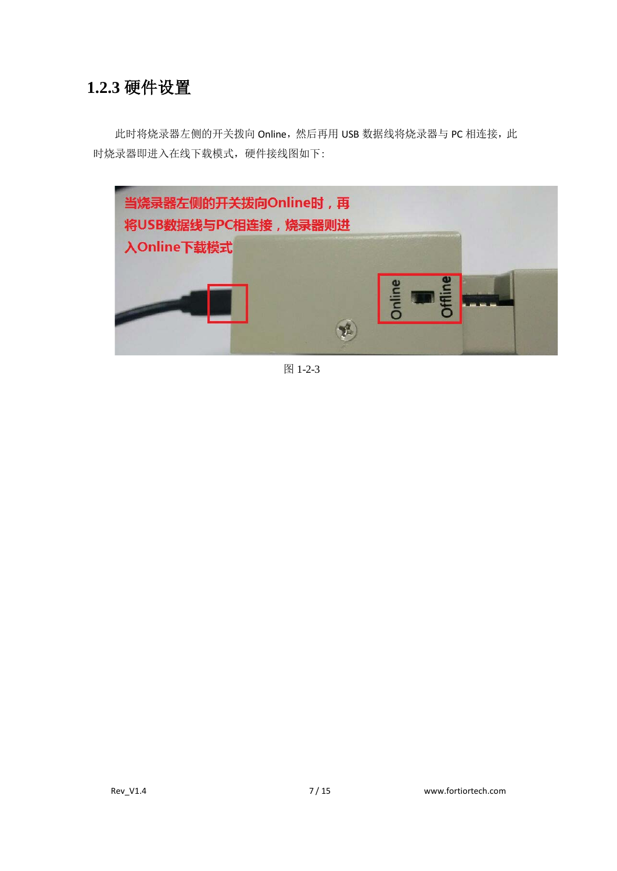#### <span id="page-6-0"></span>**1.2.3** 硬件设置

此时将烧录器左侧的开关拨向 Online,然后再用 USB 数据线将烧录器与 PC 相连接, 此 时烧录器即进入在线下载模式,硬件接线图如下:



图 1-2-3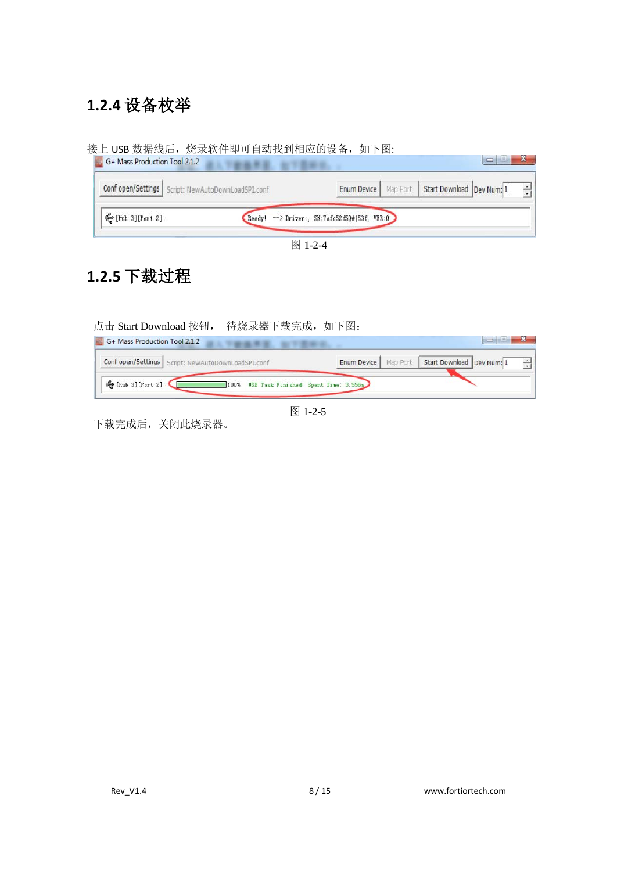### <span id="page-7-0"></span>**1.2.4** 设备枚举

接上 USB 数据线后,烧录软件即可自动找到相应的设备,如下图:



图 1-2-4

### <span id="page-7-1"></span>**1.2.5** 下载过程

点击 Start Download 按钮, 待烧录器下载完成, 如下图: **Ex.** G+ Mass Production Tool 2.1.2  $\blacksquare$ **SECTION** Conf open/Settings | Script: NewAutoDownLoadSPI.conf Enum Device | Map Port | Start Download | Dev Num: 1  $\div$ ☆ [Hub 3] [Port 2] 100% USB Task Finished! Spent Time: 3.556s 图 1-2-5

下载完成后,关闭此烧录器。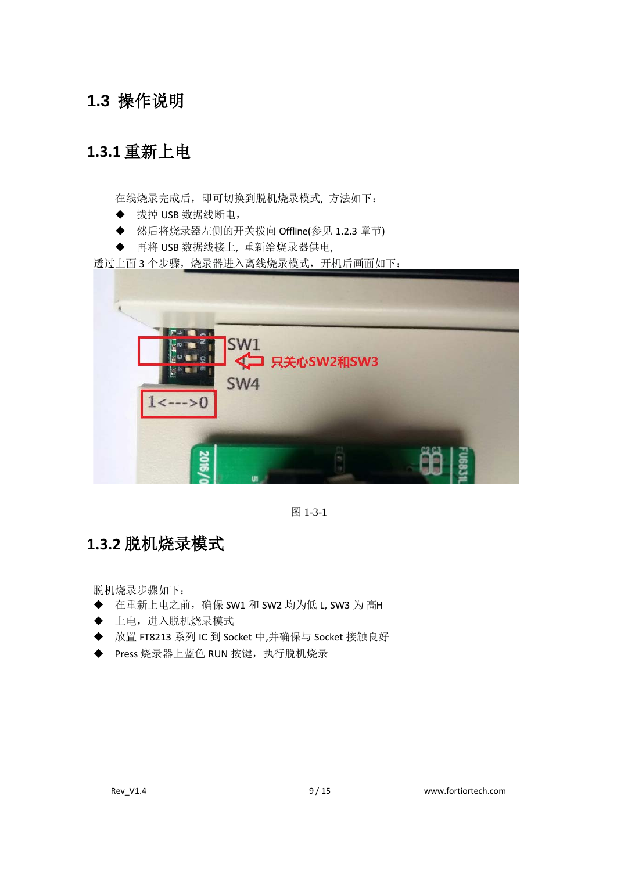#### <span id="page-8-0"></span>**1.3** 操作说明

### <span id="page-8-1"></span>**1.3.1** 重新上电

在线烧录完成后,即可切换到脱机烧录模式, 方法如下:

- ◆ 拔掉 USB 数据线断电,
- ◆ 然后将烧录器左侧的开关拨向 Offline(参见 1.2.3 章节)
- ◆ 再将 USB 数据线接上, 重新给烧录器供电,

透过上面 3 个步骤,烧录器进入离线烧录模式,开机后画面如下:



图 1-3-1

#### <span id="page-8-2"></span>**1.3.2** 脱机烧录模式

脱机烧录步骤如下:

- 在重新上电之前,确保 SW1 和 SW2 均为低 L, SW3 为 高H
- 上电,进入脱机烧录模式
- 放置 FT8213 系列 IC 到 Socket 中,并确保与 Socket 接触良好
- ◆ Press 烧录器上蓝色 RUN 按键, 执行脱机烧录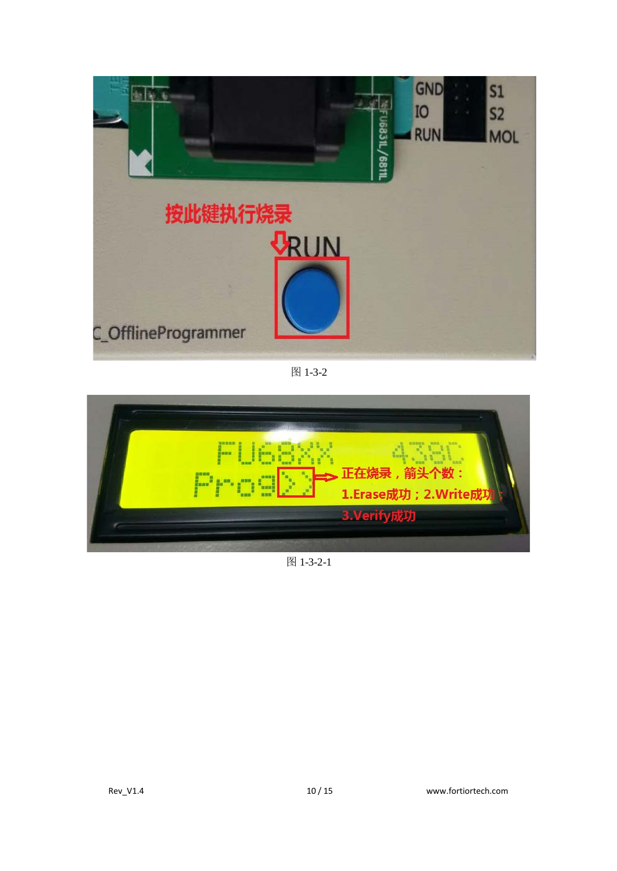

图 1-3-2



图 1-3-2-1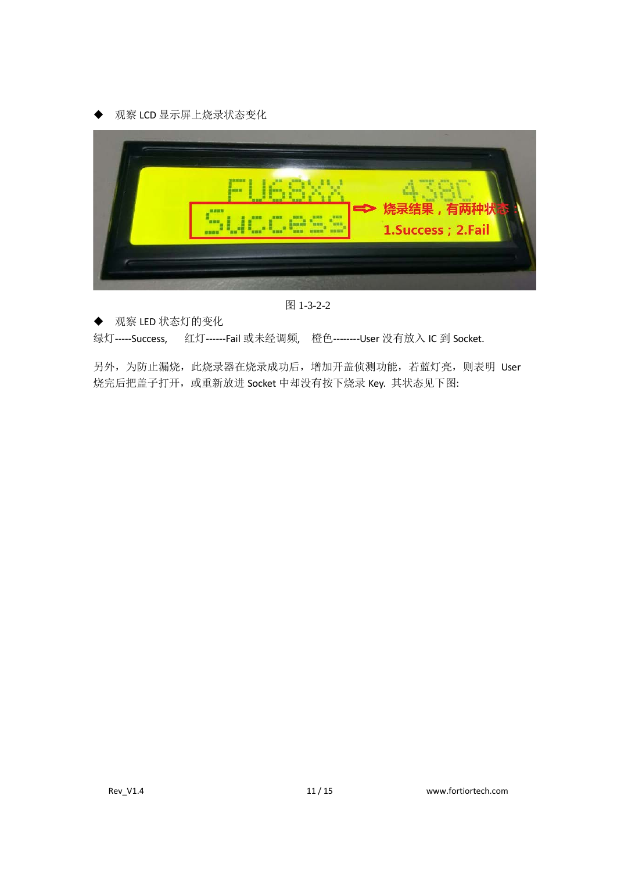



图 1-3-2-2

◆ 观察 LED 状态灯的变化

绿灯-----Success, 红灯------Fail 或未经调频, 橙色--------User 没有放入 IC 到 Socket.

另外,为防止漏烧,此烧录器在烧录成功后,增加开盖侦测功能,若蓝灯亮,则表明 User 烧完后把盖子打开, 或重新放进 Socket 中却没有按下烧录 Key. 其状态见下图: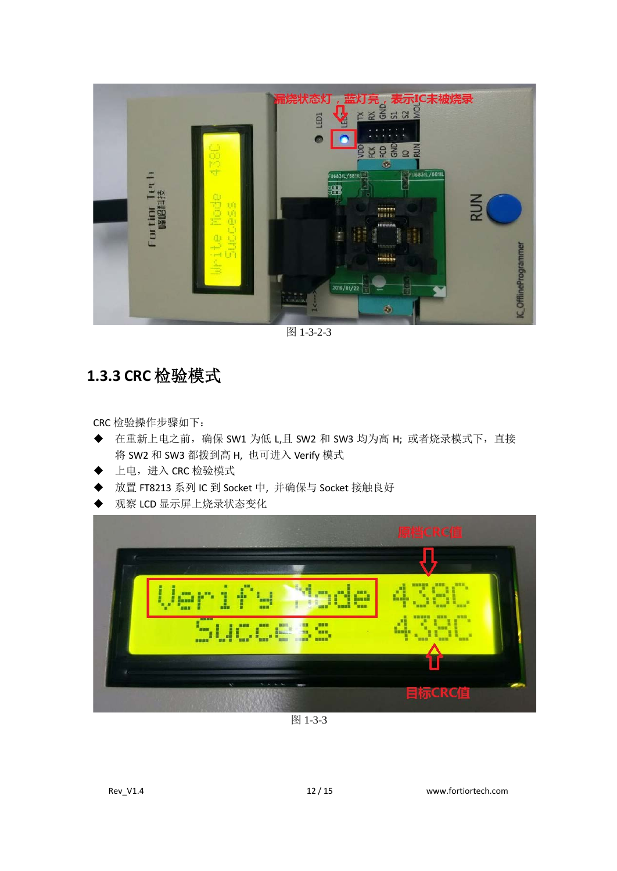

图 1-3-2-3

#### <span id="page-11-0"></span>**1.3.3 CRC** 检验模式

CRC 检验操作步骤如下:

- ◆ 在重新上电之前, 确保 SW1 为低 L,且 SW2 和 SW3 均为高 H; 或者烧录模式下, 直接 将 SW2 和 SW3 都拨到高 H, 也可进入 Verify 模式
- ◆ 上电,进入 CRC 检验模式
- 放置 FT8213 系列 IC 到 Socket 中, 并确保与 Socket 接触良好
- 观察 LCD 显示屏上烧录状态变化



图 1-3-3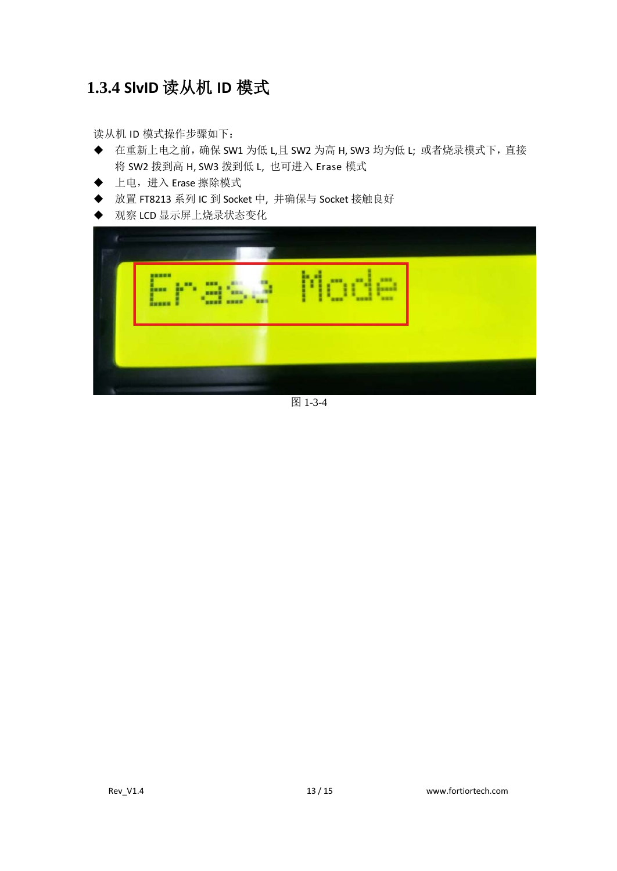### <span id="page-12-0"></span>**1.3.4 SlvID** 读从机 **ID** 模式

读从机 ID 模式操作步骤如下:

- ◆ 在重新上电之前, 确保 SW1 为低 L,且 SW2 为高 H, SW3 均为低 L; 或者烧录模式下, 直接 将 SW2 拨到高 H, SW3 拨到低 L, 也可进入 Erase 模式
- ◆ 上电,进入 Erase 擦除模式
- ◆ 放置 FT8213 系列 IC 到 Socket 中, 并确保与 Socket 接触良好
- ◆ 观察 LCD 显示屏上烧录状态变化



图 1-3-4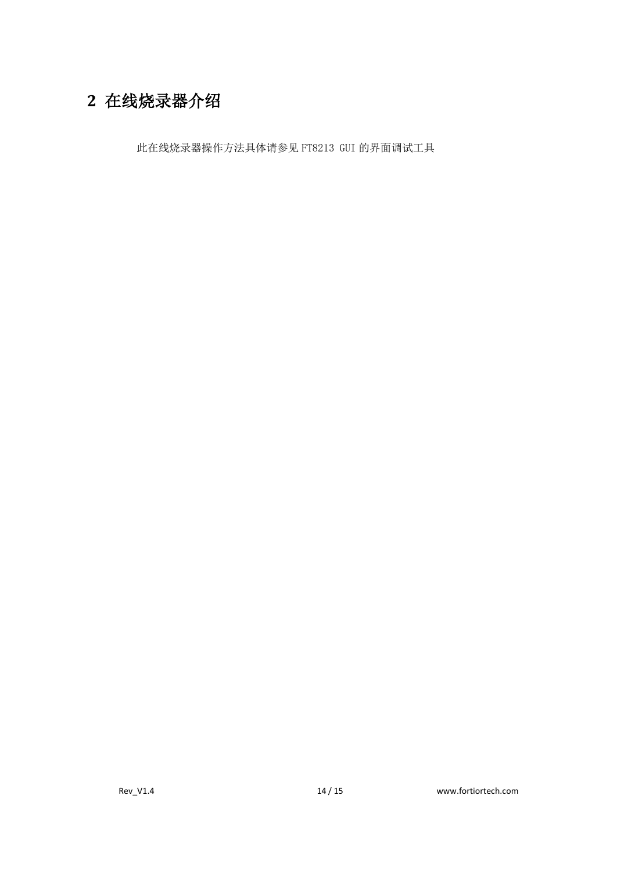## <span id="page-13-0"></span>**2** 在线烧录器介绍

此在线烧录器操作方法具体请参见 FT8213 GUI 的界面调试工具